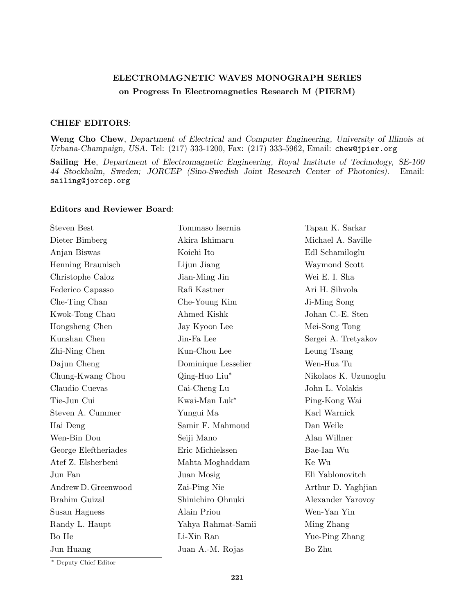## ELECTROMAGNETIC WAVES MONOGRAPH SERIES on Progress In Electromagnetics Research M (PIERM)

## CHIEF EDITORS:

Weng Cho Chew, Department of Electrical and Computer Engineering, University of Illinois at Urbana-Champaign, USA. Tel: (217) 333-1200, Fax: (217) 333-5962, Email: chew@jpier.org

Sailing He, Department of Electromagnetic Engineering, Royal Institute of Technology, SE-100 44 Stockholm, Sweden; JORCEP (Sino-Swedish Joint Research Center of Photonics). Email: sailing@jorcep.org

## Editors and Reviewer Board:

| <b>Steven Best</b>   | Tommaso Isernia     | Tapan K. Sarkar      |
|----------------------|---------------------|----------------------|
| Dieter Bimberg       | Akira Ishimaru      | Michael A. Saville   |
| Anjan Biswas         | Koichi Ito          | Edl Schamiloglu      |
| Henning Braunisch    | Lijun Jiang         | Waymond Scott        |
| Christophe Caloz     | Jian-Ming Jin       | Wei E. I. Sha        |
| Federico Capasso     | Rafi Kastner        | Ari H. Sihvola       |
| Che-Ting Chan        | Che-Young Kim       | Ji-Ming Song         |
| Kwok-Tong Chau       | Ahmed Kishk         | Johan C.-E. Sten     |
| Hongsheng Chen       | Jay Kyoon Lee       | Mei-Song Tong        |
| Kunshan Chen         | Jin-Fa Lee          | Sergei A. Tretyakov  |
| Zhi-Ning Chen        | Kun-Chou Lee        | Leung Tsang          |
| Dajun Cheng          | Dominique Lesselier | Wen-Hua Tu           |
| Chung-Kwang Chou     | Qing-Huo Liu*       | Nikolaos K. Uzunoglu |
| Claudio Cuevas       | Cai-Cheng Lu        | John L. Volakis      |
| Tie-Jun Cui          | Kwai-Man Luk*       | Ping-Kong Wai        |
| Steven A. Cummer     | Yungui Ma           | Karl Warnick         |
| Hai Deng             | Samir F. Mahmoud    | Dan Weile            |
| Wen-Bin Dou          | Seiji Mano          | Alan Willner         |
| George Eleftheriades | Eric Michielssen    | Bae-Ian Wu           |
| Atef Z. Elsherbeni   | Mahta Moghaddam     | Ke Wu                |
| Jun Fan              | Juan Mosig          | Eli Yablonovitch     |
| Andrew D. Greenwood  | Zai-Ping Nie        | Arthur D. Yaghjian   |
| Brahim Guizal        | Shinichiro Ohnuki   | Alexander Yarovoy    |
| Susan Hagness        | Alain Priou         | Wen-Yan Yin          |
| Randy L. Haupt       | Yahya Rahmat-Samii  | Ming Zhang           |
| Bo He                | Li-Xin Ran          | Yue-Ping Zhang       |
| Jun Huang            | Juan A.-M. Rojas    | Bo Zhu               |
|                      |                     |                      |

<sup>∗</sup> Deputy Chief Editor